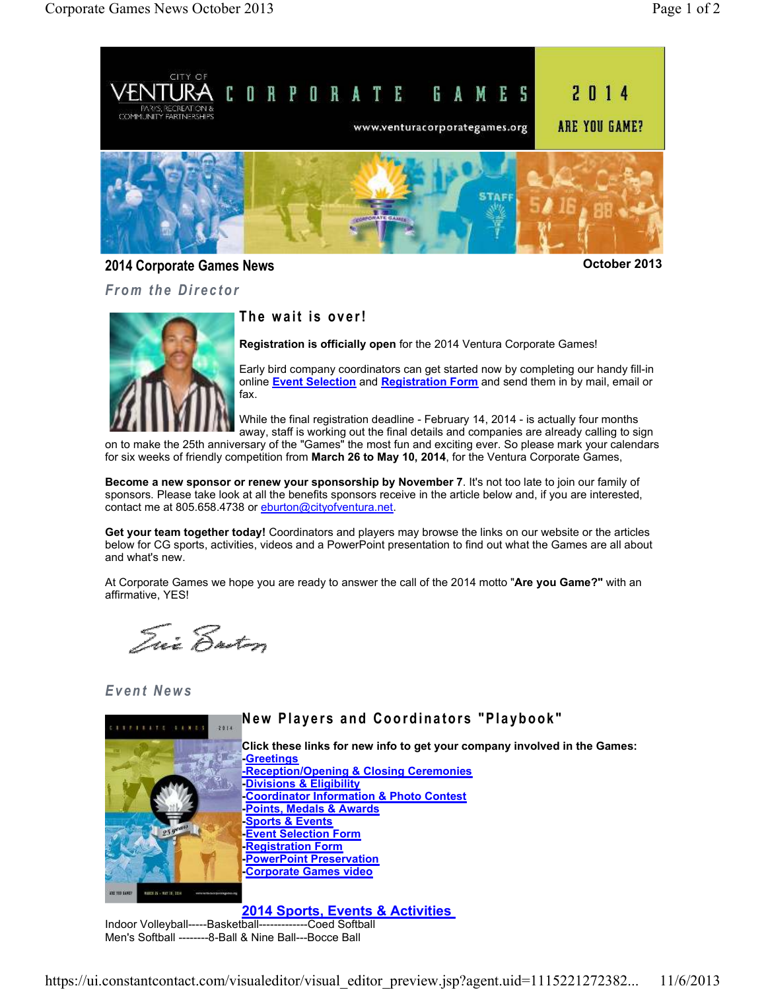

### **2014 Corporate Games News October 2013**

*From the Director* 

### The wait is over!

**Registration is officially open** for the 2014 Ventura Corporate Games!

Early bird company coordinators can get started now by completing our handy fill-in online **Event Selection** and **Registration Form** and send them in by mail, email or fax.

While the final registration deadline - February 14, 2014 - is actually four months away, staff is working out the final details and companies are already calling to sign

on to make the 25th anniversary of the "Games" the most fun and exciting ever. So please mark your calendars for six weeks of friendly competition from **March 26 to May 10, 2014**, for the Ventura Corporate Games,

**Become a new sponsor or renew your sponsorship by November 7**. It's not too late to join our family of sponsors. Please take look at all the benefits sponsors receive in the article below and, if you are interested, contact me at 805.658.4738 or eburton@cityofventura.net.

**Get your team together today!** Coordinators and players may browse the links on our website or the articles below for CG sports, activities, videos and a PowerPoint presentation to find out what the Games are all about and what's new.

At Corporate Games we hope you are ready to answer the call of the 2014 motto "**Are you Game?"** with an affirmative, YES!

Trix Ensten

## *E v e n t N e w s*



Men's Softball --------8-Ball & Nine Ball---Bocce Ball